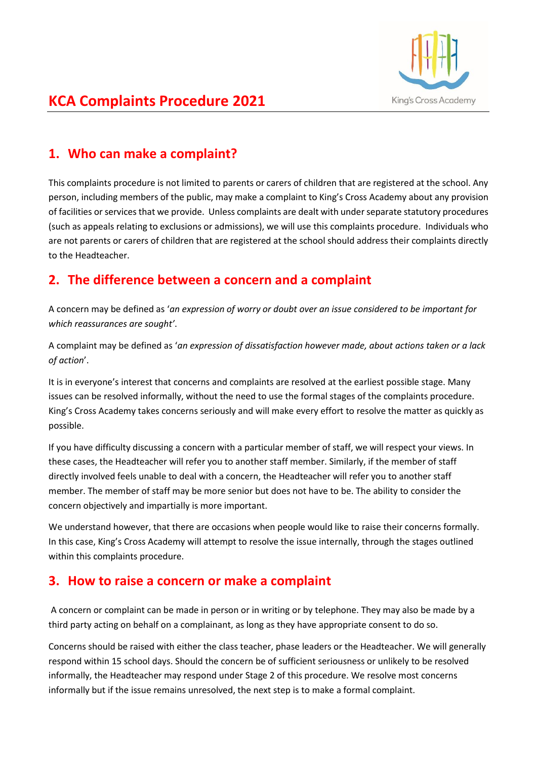

# **KCA Complaints Procedure 2021**

## **1. Who can make a complaint?**

This complaints procedure is not limited to parents or carers of children that are registered at the school. Any person, including members of the public, may make a complaint to King's Cross Academy about any provision of facilities or services that we provide. Unless complaints are dealt with under separate statutory procedures (such as appeals relating to exclusions or admissions), we will use this complaints procedure. Individuals who are not parents or carers of children that are registered at the school should address their complaints directly to the Headteacher.

## **2. The difference between a concern and a complaint**

A concern may be defined as '*an expression of worry or doubt over an issue considered to be important for which reassurances are sought'*.

A complaint may be defined as '*an expression of dissatisfaction however made, about actions taken or a lack of action*'.

It is in everyone's interest that concerns and complaints are resolved at the earliest possible stage. Many issues can be resolved informally, without the need to use the formal stages of the complaints procedure. King's Cross Academy takes concerns seriously and will make every effort to resolve the matter as quickly as possible.

If you have difficulty discussing a concern with a particular member of staff, we will respect your views. In these cases, the Headteacher will refer you to another staff member. Similarly, if the member of staff directly involved feels unable to deal with a concern, the Headteacher will refer you to another staff member. The member of staff may be more senior but does not have to be. The ability to consider the concern objectively and impartially is more important.

We understand however, that there are occasions when people would like to raise their concerns formally. In this case, King's Cross Academy will attempt to resolve the issue internally, through the stages outlined within this complaints procedure.

### **3. How to raise a concern or make a complaint**

A concern or complaint can be made in person or in writing or by telephone. They may also be made by a third party acting on behalf on a complainant, as long as they have appropriate consent to do so.

Concerns should be raised with either the class teacher, phase leaders or the Headteacher. We will generally respond within 15 school days. Should the concern be of sufficient seriousness or unlikely to be resolved informally, the Headteacher may respond under Stage 2 of this procedure. We resolve most concerns informally but if the issue remains unresolved, the next step is to make a formal complaint.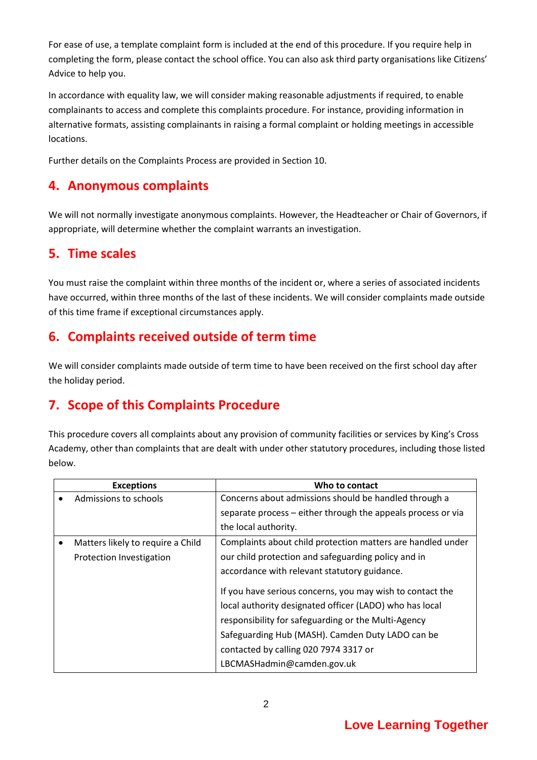For ease of use, a template complaint form is included at the end of this procedure. If you require help in completing the form, please contact the school office. You can also ask third party organisations like Citizens' Advice to help you.

In accordance with equality law, we will consider making reasonable adjustments if required, to enable complainants to access and complete this complaints procedure. For instance, providing information in alternative formats, assisting complainants in raising a formal complaint or holding meetings in accessible locations.

Further details on the Complaints Process are provided in Section 10.

### **4. Anonymous complaints**

We will not normally investigate anonymous complaints. However, the Headteacher or Chair of Governors, if appropriate, will determine whether the complaint warrants an investigation.

#### **5. Time scales**

You must raise the complaint within three months of the incident or, where a series of associated incidents have occurred, within three months of the last of these incidents. We will consider complaints made outside of this time frame if exceptional circumstances apply.

## **6. Complaints received outside of term time**

We will consider complaints made outside of term time to have been received on the first school day after the holiday period.

## **7. Scope of this Complaints Procedure**

This procedure covers all complaints about any provision of community facilities or services by King's Cross Academy, other than complaints that are dealt with under other statutory procedures, including those listed below.

| <b>Exceptions</b>                 | Who to contact                                               |
|-----------------------------------|--------------------------------------------------------------|
| Admissions to schools             | Concerns about admissions should be handled through a        |
|                                   | separate process - either through the appeals process or via |
|                                   | the local authority.                                         |
| Matters likely to require a Child | Complaints about child protection matters are handled under  |
| Protection Investigation          | our child protection and safeguarding policy and in          |
|                                   | accordance with relevant statutory guidance.                 |
|                                   | If you have serious concerns, you may wish to contact the    |
|                                   | local authority designated officer (LADO) who has local      |
|                                   | responsibility for safeguarding or the Multi-Agency          |
|                                   | Safeguarding Hub (MASH). Camden Duty LADO can be             |
|                                   | contacted by calling 020 7974 3317 or                        |
|                                   | LBCMASHadmin@camden.gov.uk                                   |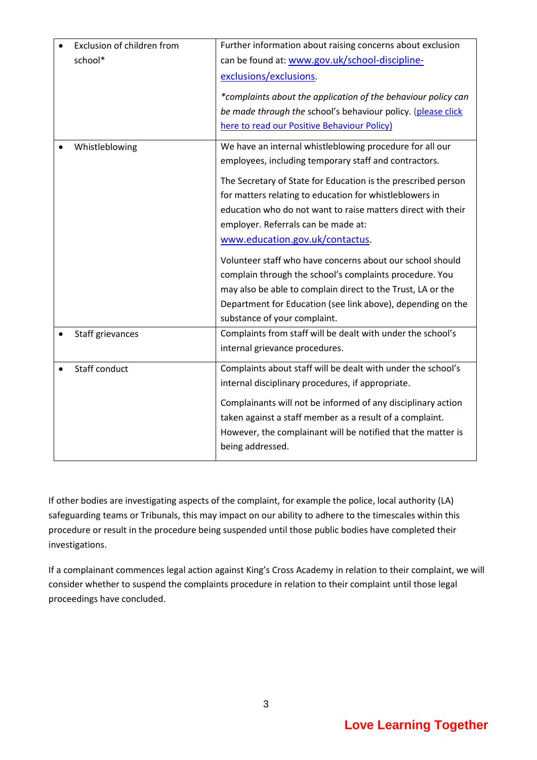| Exclusion of children from<br>school* | Further information about raising concerns about exclusion<br>can be found at: www.gov.uk/school-discipline-<br>exclusions/exclusions.<br>*complaints about the application of the behaviour policy can<br>be made through the school's behaviour policy. (please click<br>here to read our Positive Behaviour Policy)                                                                                                                                                                                                                                                                                                                                                        |
|---------------------------------------|-------------------------------------------------------------------------------------------------------------------------------------------------------------------------------------------------------------------------------------------------------------------------------------------------------------------------------------------------------------------------------------------------------------------------------------------------------------------------------------------------------------------------------------------------------------------------------------------------------------------------------------------------------------------------------|
| Whistleblowing                        | We have an internal whistleblowing procedure for all our<br>employees, including temporary staff and contractors.<br>The Secretary of State for Education is the prescribed person<br>for matters relating to education for whistleblowers in<br>education who do not want to raise matters direct with their<br>employer. Referrals can be made at:<br>www.education.gov.uk/contactus.<br>Volunteer staff who have concerns about our school should<br>complain through the school's complaints procedure. You<br>may also be able to complain direct to the Trust, LA or the<br>Department for Education (see link above), depending on the<br>substance of your complaint. |
| Staff grievances                      | Complaints from staff will be dealt with under the school's<br>internal grievance procedures.                                                                                                                                                                                                                                                                                                                                                                                                                                                                                                                                                                                 |
| Staff conduct                         | Complaints about staff will be dealt with under the school's<br>internal disciplinary procedures, if appropriate.<br>Complainants will not be informed of any disciplinary action<br>taken against a staff member as a result of a complaint.<br>However, the complainant will be notified that the matter is<br>being addressed.                                                                                                                                                                                                                                                                                                                                             |

If other bodies are investigating aspects of the complaint, for example the police, local authority (LA) safeguarding teams or Tribunals, this may impact on our ability to adhere to the timescales within this procedure or result in the procedure being suspended until those public bodies have completed their investigations.

If a complainant commences legal action against King's Cross Academy in relation to their complaint, we will consider whether to suspend the complaints procedure in relation to their complaint until those legal proceedings have concluded.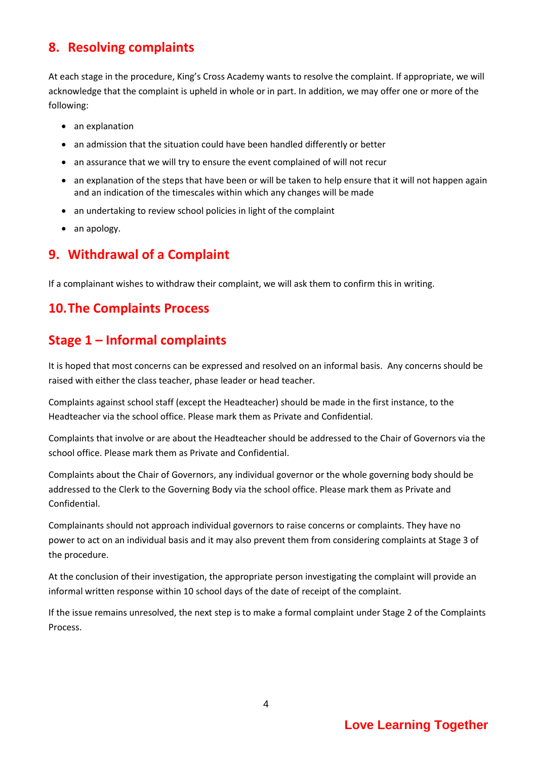## **8. Resolving complaints**

At each stage in the procedure, King's Cross Academy wants to resolve the complaint. If appropriate, we will acknowledge that the complaint is upheld in whole or in part. In addition, we may offer one or more of the following:

- an explanation
- an admission that the situation could have been handled differently or better
- an assurance that we will try to ensure the event complained of will not recur
- an explanation of the steps that have been or will be taken to help ensure that it will not happen again and an indication of the timescales within which any changes will be made
- an undertaking to review school policies in light of the complaint
- an apology.

## **9. Withdrawal of a Complaint**

If a complainant wishes to withdraw their complaint, we will ask them to confirm this in writing.

## **10.The Complaints Process**

## **Stage 1 – Informal complaints**

It is hoped that most concerns can be expressed and resolved on an informal basis. Any concerns should be raised with either the class teacher, phase leader or head teacher.

Complaints against school staff (except the Headteacher) should be made in the first instance, to the Headteacher via the school office. Please mark them as Private and Confidential.

Complaints that involve or are about the Headteacher should be addressed to the Chair of Governors via the school office. Please mark them as Private and Confidential.

Complaints about the Chair of Governors, any individual governor or the whole governing body should be addressed to the Clerk to the Governing Body via the school office. Please mark them as Private and Confidential.

Complainants should not approach individual governors to raise concerns or complaints. They have no power to act on an individual basis and it may also prevent them from considering complaints at Stage 3 of the procedure.

At the conclusion of their investigation, the appropriate person investigating the complaint will provide an informal written response within 10 school days of the date of receipt of the complaint.

If the issue remains unresolved, the next step is to make a formal complaint under Stage 2 of the Complaints Process.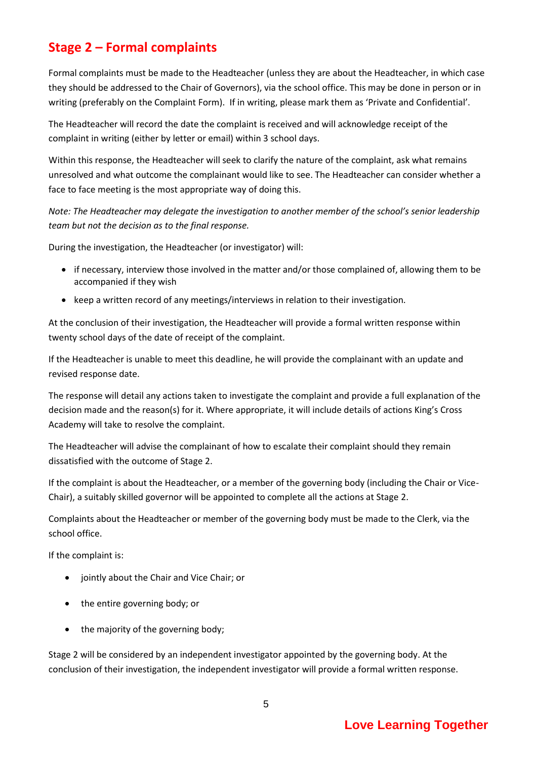## **Stage 2 – Formal complaints**

Formal complaints must be made to the Headteacher (unless they are about the Headteacher, in which case they should be addressed to the Chair of Governors), via the school office. This may be done in person or in writing (preferably on the Complaint Form). If in writing, please mark them as 'Private and Confidential'.

The Headteacher will record the date the complaint is received and will acknowledge receipt of the complaint in writing (either by letter or email) within 3 school days.

Within this response, the Headteacher will seek to clarify the nature of the complaint, ask what remains unresolved and what outcome the complainant would like to see. The Headteacher can consider whether a face to face meeting is the most appropriate way of doing this.

*Note: The Headteacher may delegate the investigation to another member of the school's senior leadership team but not the decision as to the final response.*

During the investigation, the Headteacher (or investigator) will:

- if necessary, interview those involved in the matter and/or those complained of, allowing them to be accompanied if they wish
- keep a written record of any meetings/interviews in relation to their investigation.

At the conclusion of their investigation, the Headteacher will provide a formal written response within twenty school days of the date of receipt of the complaint.

If the Headteacher is unable to meet this deadline, he will provide the complainant with an update and revised response date.

The response will detail any actions taken to investigate the complaint and provide a full explanation of the decision made and the reason(s) for it. Where appropriate, it will include details of actions King's Cross Academy will take to resolve the complaint.

The Headteacher will advise the complainant of how to escalate their complaint should they remain dissatisfied with the outcome of Stage 2.

If the complaint is about the Headteacher, or a member of the governing body (including the Chair or Vice-Chair), a suitably skilled governor will be appointed to complete all the actions at Stage 2.

Complaints about the Headteacher or member of the governing body must be made to the Clerk, via the school office.

If the complaint is:

- jointly about the Chair and Vice Chair; or
- the entire governing body; or
- the majority of the governing body;

Stage 2 will be considered by an independent investigator appointed by the governing body. At the conclusion of their investigation, the independent investigator will provide a formal written response.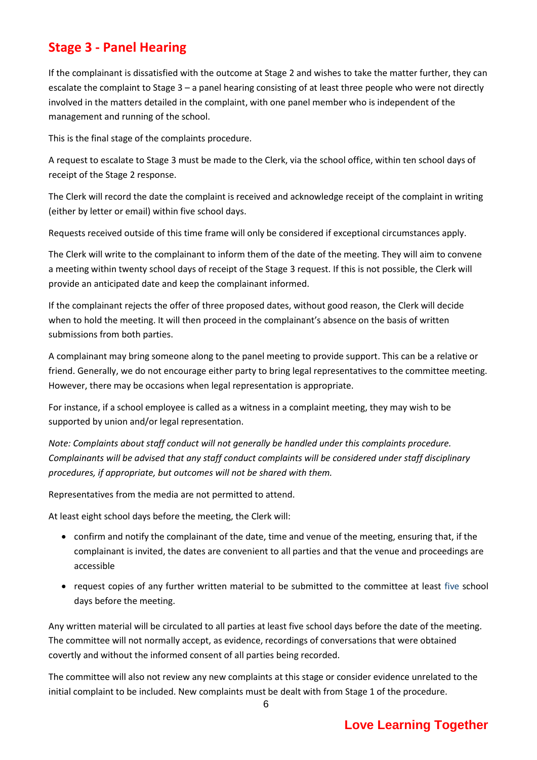## **Stage 3 - Panel Hearing**

If the complainant is dissatisfied with the outcome at Stage 2 and wishes to take the matter further, they can escalate the complaint to Stage 3 – a panel hearing consisting of at least three people who were not directly involved in the matters detailed in the complaint, with one panel member who is independent of the management and running of the school.

This is the final stage of the complaints procedure.

A request to escalate to Stage 3 must be made to the Clerk, via the school office, within ten school days of receipt of the Stage 2 response.

The Clerk will record the date the complaint is received and acknowledge receipt of the complaint in writing (either by letter or email) within five school days.

Requests received outside of this time frame will only be considered if exceptional circumstances apply.

The Clerk will write to the complainant to inform them of the date of the meeting. They will aim to convene a meeting within twenty school days of receipt of the Stage 3 request. If this is not possible, the Clerk will provide an anticipated date and keep the complainant informed.

If the complainant rejects the offer of three proposed dates, without good reason, the Clerk will decide when to hold the meeting. It will then proceed in the complainant's absence on the basis of written submissions from both parties.

A complainant may bring someone along to the panel meeting to provide support. This can be a relative or friend. Generally, we do not encourage either party to bring legal representatives to the committee meeting. However, there may be occasions when legal representation is appropriate.

For instance, if a school employee is called as a witness in a complaint meeting, they may wish to be supported by union and/or legal representation.

*Note: Complaints about staff conduct will not generally be handled under this complaints procedure. Complainants will be advised that any staff conduct complaints will be considered under staff disciplinary procedures, if appropriate, but outcomes will not be shared with them.* 

Representatives from the media are not permitted to attend.

At least eight school days before the meeting, the Clerk will:

- confirm and notify the complainant of the date, time and venue of the meeting, ensuring that, if the complainant is invited, the dates are convenient to all parties and that the venue and proceedings are accessible
- request copies of any further written material to be submitted to the committee at least five school days before the meeting.

Any written material will be circulated to all parties at least five school days before the date of the meeting. The committee will not normally accept, as evidence, recordings of conversations that were obtained covertly and without the informed consent of all parties being recorded.

The committee will also not review any new complaints at this stage or consider evidence unrelated to the initial complaint to be included. New complaints must be dealt with from Stage 1 of the procedure.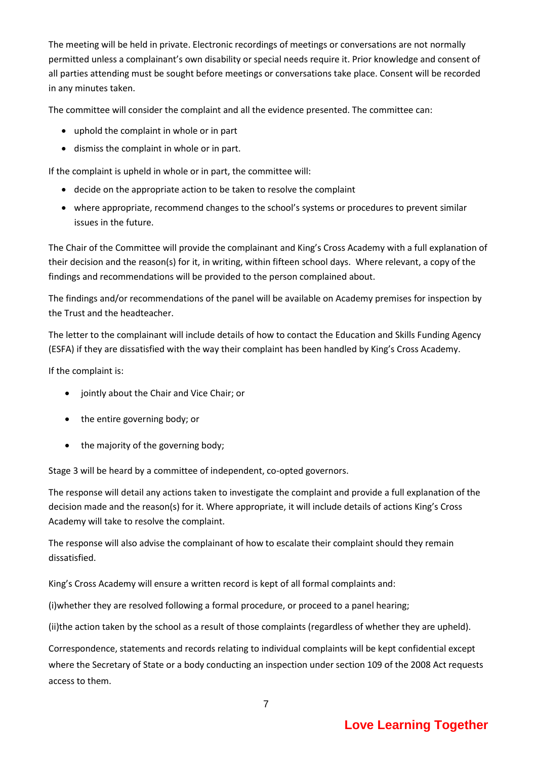The meeting will be held in private. Electronic recordings of meetings or conversations are not normally permitted unless a complainant's own disability or special needs require it. Prior knowledge and consent of all parties attending must be sought before meetings or conversations take place. Consent will be recorded in any minutes taken.

The committee will consider the complaint and all the evidence presented. The committee can:

- uphold the complaint in whole or in part
- dismiss the complaint in whole or in part.

If the complaint is upheld in whole or in part, the committee will:

- decide on the appropriate action to be taken to resolve the complaint
- where appropriate, recommend changes to the school's systems or procedures to prevent similar issues in the future.

The Chair of the Committee will provide the complainant and King's Cross Academy with a full explanation of their decision and the reason(s) for it, in writing, within fifteen school days. Where relevant, a copy of the findings and recommendations will be provided to the person complained about.

The findings and/or recommendations of the panel will be available on Academy premises for inspection by the Trust and the headteacher.

The letter to the complainant will include details of how to contact the Education and Skills Funding Agency (ESFA) if they are dissatisfied with the way their complaint has been handled by King's Cross Academy.

If the complaint is:

- jointly about the Chair and Vice Chair; or
- the entire governing body; or
- the majority of the governing body;

Stage 3 will be heard by a committee of independent, co-opted governors.

The response will detail any actions taken to investigate the complaint and provide a full explanation of the decision made and the reason(s) for it. Where appropriate, it will include details of actions King's Cross Academy will take to resolve the complaint.

The response will also advise the complainant of how to escalate their complaint should they remain dissatisfied.

King's Cross Academy will ensure a written record is kept of all formal complaints and:

(i)whether they are resolved following a formal procedure, or proceed to a panel hearing;

(ii)the action taken by the school as a result of those complaints (regardless of whether they are upheld).

Correspondence, statements and records relating to individual complaints will be kept confidential except where the Secretary of State or a body conducting an inspection under section 109 of the 2008 Act requests access to them.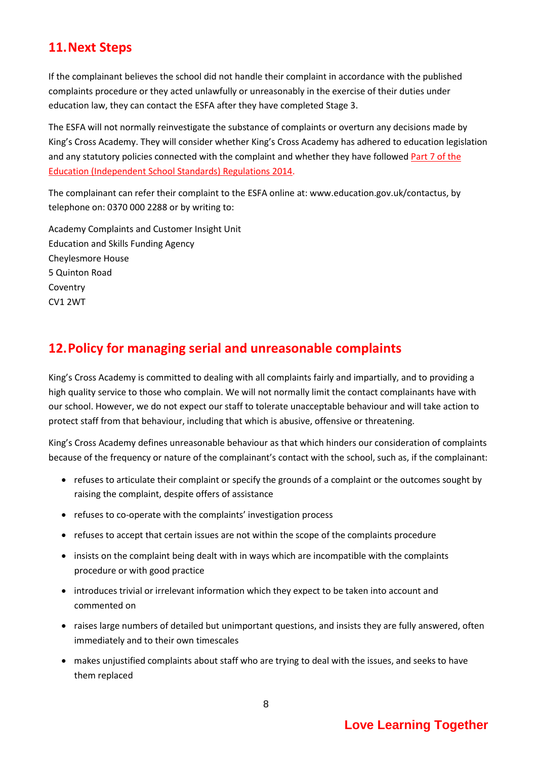## **11.Next Steps**

If the complainant believes the school did not handle their complaint in accordance with the published complaints procedure or they acted unlawfully or unreasonably in the exercise of their duties under education law, they can contact the ESFA after they have completed Stage 3.

The ESFA will not normally reinvestigate the substance of complaints or overturn any decisions made by King's Cross Academy. They will consider whether King's Cross Academy has adhered to education legislation and any statutory policies connected with the complaint and whether they have followed Part 7 of the [Education \(Independent School Standards\) Regulations 2014.](http://www.legislation.gov.uk/uksi/2010/1997/schedule/1/made)

The complainant can refer their complaint to the ESFA online at[: www.education.gov.uk/contactus,](http://www.education.gov.uk/contactus) by telephone on: 0370 000 2288 or by writing to:

Academy Complaints and Customer Insight Unit Education and Skills Funding Agency Cheylesmore House 5 Quinton Road Coventry CV1 2WT

## **12.Policy for managing serial and unreasonable complaints**

King's Cross Academy is committed to dealing with all complaints fairly and impartially, and to providing a high quality service to those who complain. We will not normally limit the contact complainants have with our school. However, we do not expect our staff to tolerate unacceptable behaviour and will take action to protect staff from that behaviour, including that which is abusive, offensive or threatening.

King's Cross Academy defines unreasonable behaviour as that which hinders our consideration of complaints because of the frequency or nature of the complainant's contact with the school, such as, if the complainant:

- refuses to articulate their complaint or specify the grounds of a complaint or the outcomes sought by raising the complaint, despite offers of assistance
- refuses to co-operate with the complaints' investigation process
- refuses to accept that certain issues are not within the scope of the complaints procedure
- insists on the complaint being dealt with in ways which are incompatible with the complaints procedure or with good practice
- introduces trivial or irrelevant information which they expect to be taken into account and commented on
- raises large numbers of detailed but unimportant questions, and insists they are fully answered, often immediately and to their own timescales
- makes unjustified complaints about staff who are trying to deal with the issues, and seeks to have them replaced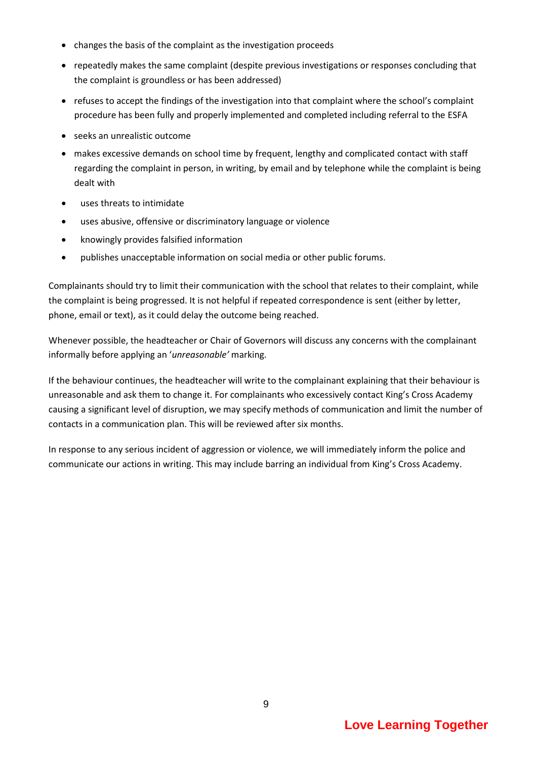- changes the basis of the complaint as the investigation proceeds
- repeatedly makes the same complaint (despite previous investigations or responses concluding that the complaint is groundless or has been addressed)
- refuses to accept the findings of the investigation into that complaint where the school's complaint procedure has been fully and properly implemented and completed including referral to the ESFA
- seeks an unrealistic outcome
- makes excessive demands on school time by frequent, lengthy and complicated contact with staff regarding the complaint in person, in writing, by email and by telephone while the complaint is being dealt with
- uses threats to intimidate
- uses abusive, offensive or discriminatory language or violence
- knowingly provides falsified information
- publishes unacceptable information on social media or other public forums.

Complainants should try to limit their communication with the school that relates to their complaint, while the complaint is being progressed. It is not helpful if repeated correspondence is sent (either by letter, phone, email or text), as it could delay the outcome being reached.

Whenever possible, the headteacher or Chair of Governors will discuss any concerns with the complainant informally before applying an '*unreasonable'* marking.

If the behaviour continues, the headteacher will write to the complainant explaining that their behaviour is unreasonable and ask them to change it. For complainants who excessively contact King's Cross Academy causing a significant level of disruption, we may specify methods of communication and limit the number of contacts in a communication plan. This will be reviewed after six months.

In response to any serious incident of aggression or violence, we will immediately inform the police and communicate our actions in writing. This may include barring an individual from King's Cross Academy.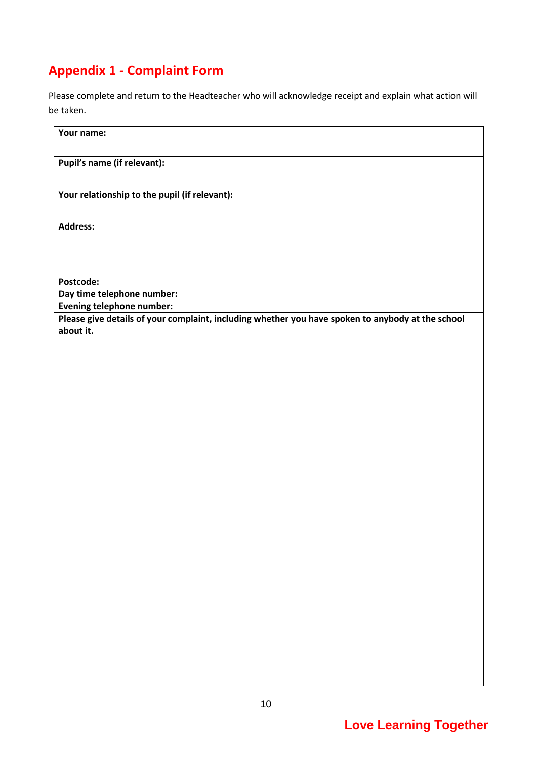# **Appendix 1 - Complaint Form**

Please complete and return to the Headteacher who will acknowledge receipt and explain what action will be taken.

| Your name:                                                                                                     |
|----------------------------------------------------------------------------------------------------------------|
| Pupil's name (if relevant):                                                                                    |
| Your relationship to the pupil (if relevant):                                                                  |
| Address:                                                                                                       |
|                                                                                                                |
| Postcode:<br>Day time telephone number:                                                                        |
| <b>Evening telephone number:</b>                                                                               |
| Please give details of your complaint, including whether you have spoken to anybody at the school<br>about it. |
|                                                                                                                |
|                                                                                                                |
|                                                                                                                |
|                                                                                                                |
|                                                                                                                |
|                                                                                                                |
|                                                                                                                |
|                                                                                                                |
|                                                                                                                |
|                                                                                                                |
|                                                                                                                |
|                                                                                                                |
|                                                                                                                |
|                                                                                                                |
|                                                                                                                |
|                                                                                                                |
|                                                                                                                |
|                                                                                                                |
|                                                                                                                |
|                                                                                                                |
|                                                                                                                |
|                                                                                                                |
|                                                                                                                |
|                                                                                                                |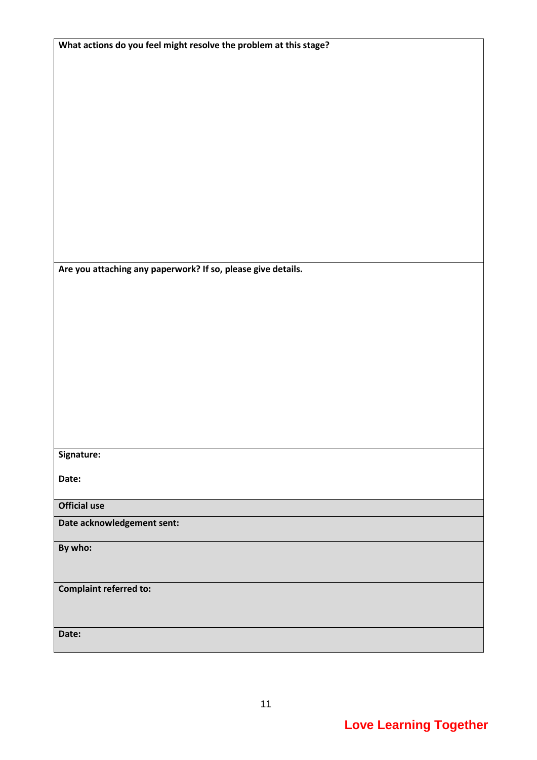| What actions do you feel might resolve the problem at this stage? |
|-------------------------------------------------------------------|
|                                                                   |
|                                                                   |
|                                                                   |
|                                                                   |
|                                                                   |
|                                                                   |
|                                                                   |
|                                                                   |
|                                                                   |
|                                                                   |
|                                                                   |
|                                                                   |
|                                                                   |
|                                                                   |
|                                                                   |
|                                                                   |
|                                                                   |
|                                                                   |
|                                                                   |
| Are you attaching any paperwork? If so, please give details.      |
|                                                                   |
|                                                                   |
|                                                                   |
|                                                                   |
|                                                                   |
|                                                                   |
|                                                                   |
|                                                                   |
|                                                                   |
|                                                                   |
|                                                                   |
|                                                                   |
|                                                                   |
|                                                                   |
|                                                                   |
| Signature:                                                        |
|                                                                   |
| Date:                                                             |
|                                                                   |
|                                                                   |
| <b>Official use</b>                                               |
| Date acknowledgement sent:                                        |
|                                                                   |
| By who:                                                           |
|                                                                   |
|                                                                   |
|                                                                   |
| <b>Complaint referred to:</b>                                     |
|                                                                   |
|                                                                   |
|                                                                   |
| Date:                                                             |
|                                                                   |

11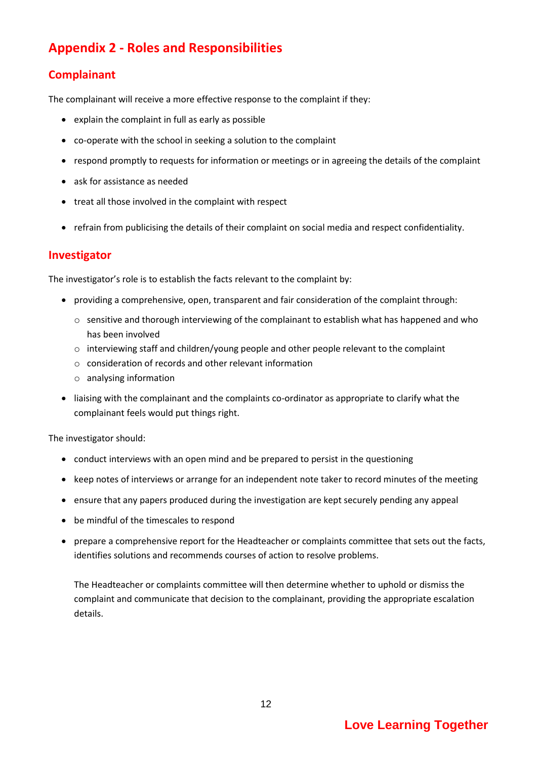## **Appendix 2 - Roles and Responsibilities**

#### **Complainant**

The complainant will receive a more effective response to the complaint if they:

- explain the complaint in full as early as possible
- co-operate with the school in seeking a solution to the complaint
- respond promptly to requests for information or meetings or in agreeing the details of the complaint
- ask for assistance as needed
- treat all those involved in the complaint with respect
- refrain from publicising the details of their complaint on social media and respect confidentiality.

#### **Investigator**

The investigator's role is to establish the facts relevant to the complaint by:

- providing a comprehensive, open, transparent and fair consideration of the complaint through:
	- $\circ$  sensitive and thorough interviewing of the complainant to establish what has happened and who has been involved
	- o interviewing staff and children/young people and other people relevant to the complaint
	- o consideration of records and other relevant information
	- o analysing information
- liaising with the complainant and the complaints co-ordinator as appropriate to clarify what the complainant feels would put things right.

The investigator should:

- conduct interviews with an open mind and be prepared to persist in the questioning
- keep notes of interviews or arrange for an independent note taker to record minutes of the meeting
- ensure that any papers produced during the investigation are kept securely pending any appeal
- be mindful of the timescales to respond
- prepare a comprehensive report for the Headteacher or complaints committee that sets out the facts, identifies solutions and recommends courses of action to resolve problems.

The Headteacher or complaints committee will then determine whether to uphold or dismiss the complaint and communicate that decision to the complainant, providing the appropriate escalation details.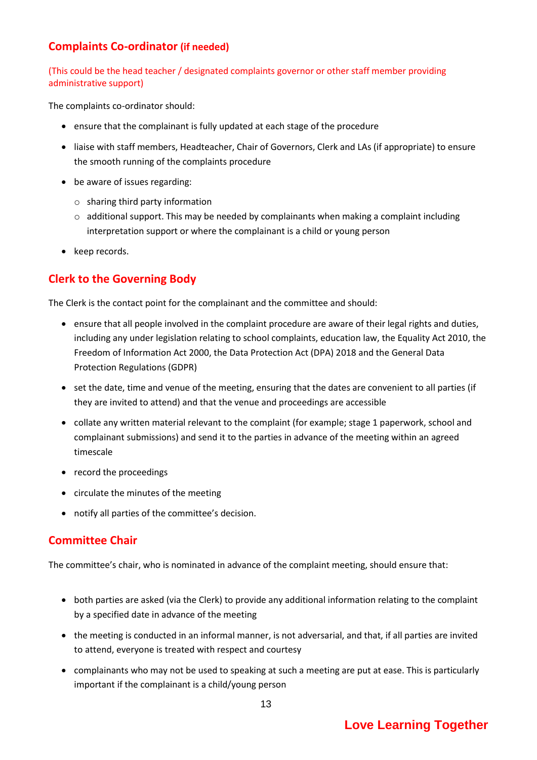#### **Complaints Co-ordinator (if needed)**

(This could be the head teacher / designated complaints governor or other staff member providing administrative support)

The complaints co-ordinator should:

- ensure that the complainant is fully updated at each stage of the procedure
- liaise with staff members, Headteacher, Chair of Governors, Clerk and LAs (if appropriate) to ensure the smooth running of the complaints procedure
- be aware of issues regarding:
	- o sharing third party information
	- $\circ$  additional support. This may be needed by complainants when making a complaint including interpretation support or where the complainant is a child or young person
- keep records.

#### **Clerk to the Governing Body**

The Clerk is the contact point for the complainant and the committee and should:

- ensure that all people involved in the complaint procedure are aware of their legal rights and duties, including any under legislation relating to school complaints, education law, the Equality Act 2010, the Freedom of Information Act 2000, the Data Protection Act (DPA) 2018 and the General Data Protection Regulations (GDPR)
- set the date, time and venue of the meeting, ensuring that the dates are convenient to all parties (if they are invited to attend) and that the venue and proceedings are accessible
- collate any written material relevant to the complaint (for example; stage 1 paperwork, school and complainant submissions) and send it to the parties in advance of the meeting within an agreed timescale
- record the proceedings
- circulate the minutes of the meeting
- notify all parties of the committee's decision.

#### **Committee Chair**

The committee's chair, who is nominated in advance of the complaint meeting, should ensure that:

- both parties are asked (via the Clerk) to provide any additional information relating to the complaint by a specified date in advance of the meeting
- the meeting is conducted in an informal manner, is not adversarial, and that, if all parties are invited to attend, everyone is treated with respect and courtesy
- complainants who may not be used to speaking at such a meeting are put at ease. This is particularly important if the complainant is a child/young person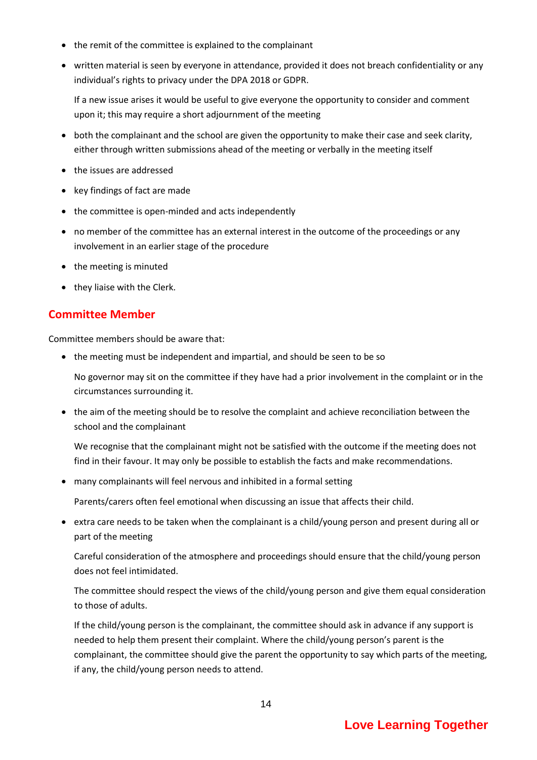- the remit of the committee is explained to the complainant
- written material is seen by everyone in attendance, provided it does not breach confidentiality or any individual's rights to privacy under the DPA 2018 or GDPR.

If a new issue arises it would be useful to give everyone the opportunity to consider and comment upon it; this may require a short adjournment of the meeting

- both the complainant and the school are given the opportunity to make their case and seek clarity, either through written submissions ahead of the meeting or verbally in the meeting itself
- the issues are addressed
- key findings of fact are made
- the committee is open-minded and acts independently
- no member of the committee has an external interest in the outcome of the proceedings or any involvement in an earlier stage of the procedure
- the meeting is minuted
- they liaise with the Clerk.

#### **Committee Member**

Committee members should be aware that:

• the meeting must be independent and impartial, and should be seen to be so

No governor may sit on the committee if they have had a prior involvement in the complaint or in the circumstances surrounding it.

• the aim of the meeting should be to resolve the complaint and achieve reconciliation between the school and the complainant

We recognise that the complainant might not be satisfied with the outcome if the meeting does not find in their favour. It may only be possible to establish the facts and make recommendations.

many complainants will feel nervous and inhibited in a formal setting

Parents/carers often feel emotional when discussing an issue that affects their child.

 extra care needs to be taken when the complainant is a child/young person and present during all or part of the meeting

Careful consideration of the atmosphere and proceedings should ensure that the child/young person does not feel intimidated.

The committee should respect the views of the child/young person and give them equal consideration to those of adults.

If the child/young person is the complainant, the committee should ask in advance if any support is needed to help them present their complaint. Where the child/young person's parent is the complainant, the committee should give the parent the opportunity to say which parts of the meeting, if any, the child/young person needs to attend.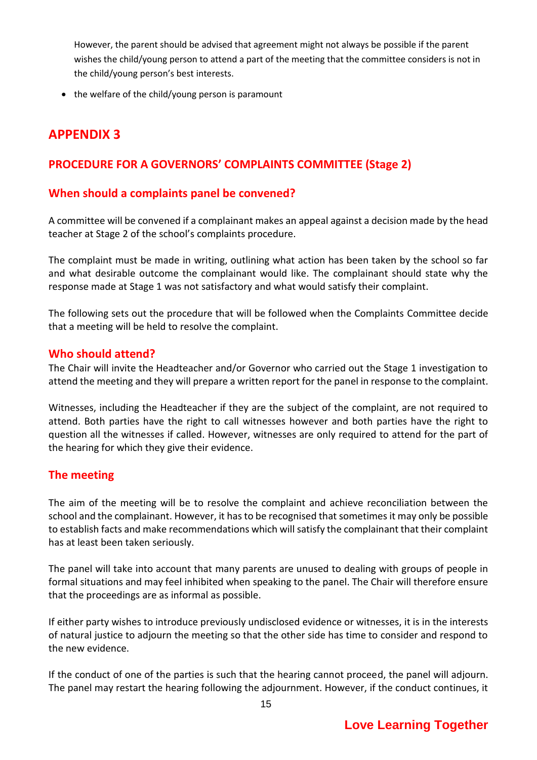However, the parent should be advised that agreement might not always be possible if the parent wishes the child/young person to attend a part of the meeting that the committee considers is not in the child/young person's best interests.

• the welfare of the child/young person is paramount

### **APPENDIX 3**

#### **PROCEDURE FOR A GOVERNORS' COMPLAINTS COMMITTEE (Stage 2)**

#### **When should a complaints panel be convened?**

A committee will be convened if a complainant makes an appeal against a decision made by the head teacher at Stage 2 of the school's complaints procedure.

The complaint must be made in writing, outlining what action has been taken by the school so far and what desirable outcome the complainant would like. The complainant should state why the response made at Stage 1 was not satisfactory and what would satisfy their complaint.

The following sets out the procedure that will be followed when the Complaints Committee decide that a meeting will be held to resolve the complaint.

#### **Who should attend?**

The Chair will invite the Headteacher and/or Governor who carried out the Stage 1 investigation to attend the meeting and they will prepare a written report for the panel in response to the complaint.

Witnesses, including the Headteacher if they are the subject of the complaint, are not required to attend. Both parties have the right to call witnesses however and both parties have the right to question all the witnesses if called. However, witnesses are only required to attend for the part of the hearing for which they give their evidence.

#### **The meeting**

The aim of the meeting will be to resolve the complaint and achieve reconciliation between the school and the complainant. However, it has to be recognised that sometimes it may only be possible to establish facts and make recommendations which will satisfy the complainant that their complaint has at least been taken seriously.

The panel will take into account that many parents are unused to dealing with groups of people in formal situations and may feel inhibited when speaking to the panel. The Chair will therefore ensure that the proceedings are as informal as possible.

If either party wishes to introduce previously undisclosed evidence or witnesses, it is in the interests of natural justice to adjourn the meeting so that the other side has time to consider and respond to the new evidence.

If the conduct of one of the parties is such that the hearing cannot proceed, the panel will adjourn. The panel may restart the hearing following the adjournment. However, if the conduct continues, it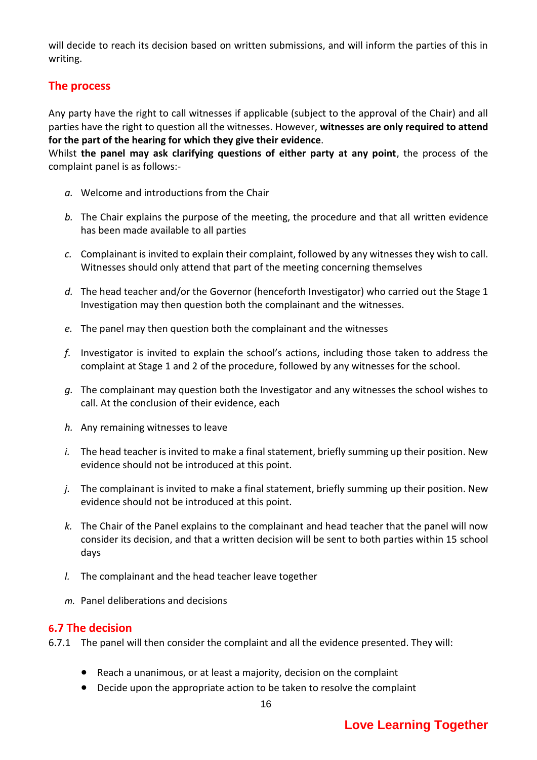will decide to reach its decision based on written submissions, and will inform the parties of this in writing.

#### **The process**

Any party have the right to call witnesses if applicable (subject to the approval of the Chair) and all parties have the right to question all the witnesses. However, **witnesses are only required to attend for the part of the hearing for which they give their evidence**.

Whilst **the panel may ask clarifying questions of either party at any point**, the process of the complaint panel is as follows:-

- *a.* Welcome and introductions from the Chair
- *b.* The Chair explains the purpose of the meeting, the procedure and that all written evidence has been made available to all parties
- *c.* Complainant is invited to explain their complaint, followed by any witnesses they wish to call. Witnesses should only attend that part of the meeting concerning themselves
- *d.* The head teacher and/or the Governor (henceforth Investigator) who carried out the Stage 1 Investigation may then question both the complainant and the witnesses.
- *e.* The panel may then question both the complainant and the witnesses
- *f.* Investigator is invited to explain the school's actions, including those taken to address the complaint at Stage 1 and 2 of the procedure, followed by any witnesses for the school.
- *g.* The complainant may question both the Investigator and any witnesses the school wishes to call. At the conclusion of their evidence, each
- *h.* Any remaining witnesses to leave
- *i.* The head teacher is invited to make a final statement, briefly summing up their position. New evidence should not be introduced at this point.
- *j.* The complainant is invited to make a final statement, briefly summing up their position. New evidence should not be introduced at this point.
- *k.* The Chair of the Panel explains to the complainant and head teacher that the panel will now consider its decision, and that a written decision will be sent to both parties within 15 school days
- *l.* The complainant and the head teacher leave together
- *m.* Panel deliberations and decisions

#### **6.7 The decision**

- 6.7.1 The panel will then consider the complaint and all the evidence presented. They will:
	- Reach a unanimous, or at least a majority, decision on the complaint
	- Decide upon the appropriate action to be taken to resolve the complaint